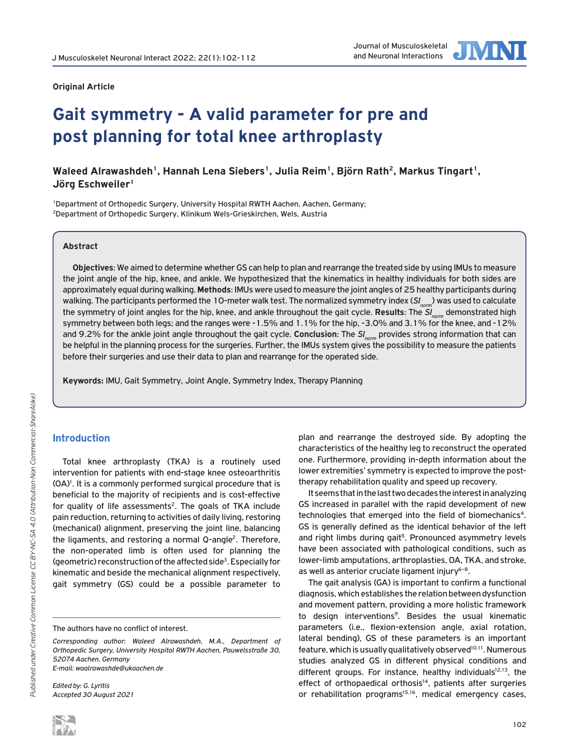#### **Original Article**



# **Gait symmetry - A valid parameter for pre and post planning for total knee arthroplasty**

## Waleed Alrawashdeh<sup>1</sup>, Hannah Lena Siebers<sup>1</sup>, Julia Reim<sup>1</sup>, Björn Rath<sup>2</sup>, Markus Tingart<sup>1</sup>, **Jörg Eschweiler1**

1Department of Orthopedic Surgery, University Hospital RWTH Aachen, Aachen, Germany; 2Department of Orthopedic Surgery, Klinikum Wels-Grieskirchen, Wels, Austria

### **Abstract**

**Objectives**: We aimed to determine whether GS can help to plan and rearrange the treated side by using IMUs to measure the joint angle of the hip, knee, and ankle. We hypothesized that the kinematics in healthy individuals for both sides are approximately equal during walking. **Methods**: IMUs were used to measure the joint angles of 25 healthy participants during walking. The participants performed the 10-meter walk test. The normalized symmetry index (*SInorm*) was used to calculate the symmetry of joint angles for the hip, knee, and ankle throughout the gait cycle. **Results**: The SI<sub>norm</sub> demonstrated high symmetry between both legs; and the ranges were -1.5% and 1.1% for the hip, -3.0% and 3.1% for the knee, and -12% and 9.2% for the ankle joint angle throughout the gait cycle. **Conclusion**: The *SInorm* provides strong information that can be helpful in the planning process for the surgeries. Further, the IMUs system gives the possibility to measure the patients before their surgeries and use their data to plan and rearrange for the operated side.

**Keywords:** IMU, Gait Symmetry, Joint Angle, Symmetry Index, Therapy Planning

## **Introduction**

Total knee arthroplasty (TKA) is a routinely used intervention for patients with end-stage knee osteoarthritis (OA)<sup>1</sup>. It is a commonly performed surgical procedure that is beneficial to the majority of recipients and is cost-effective for quality of life assessments<sup>2</sup>. The goals of TKA include pain reduction, returning to activities of daily living, restoring (mechanical) alignment, preserving the joint line, balancing the ligaments, and restoring a normal Q-angle<sup>2</sup>. Therefore, the non-operated limb is often used for planning the (geometric) reconstruction of the affected side<sup>3</sup>. Especially for kinematic and beside the mechanical alignment respectively, gait symmetry (GS) could be a possible parameter to

*Edited by: G. Lyritis Accepted 30 August 2021* plan and rearrange the destroyed side. By adopting the characteristics of the healthy leg to reconstruct the operated one. Furthermore, providing in-depth information about the lower extremities' symmetry is expected to improve the posttherapy rehabilitation quality and speed up recovery.

It seems that in the last two decades the interest in analyzing GS increased in parallel with the rapid development of new technologies that emerged into the field of biomechanics<sup>4</sup>. GS is generally defined as the identical behavior of the left and right limbs during gait<sup>5</sup>. Pronounced asymmetry levels have been associated with pathological conditions, such as lower-limb amputations, arthroplasties, OA, TKA, and stroke, as well as anterior cruciate ligament injury<sup>6-8</sup>.

The gait analysis (GA) is important to confirm a functional diagnosis, which establishes the relation between dysfunction and movement pattern, providing a more holistic framework to design interventions<sup>9</sup>. Besides the usual kinematic parameters (i.e., flexion-extension angle, axial rotation, lateral bending), GS of these parameters is an important feature, which is usually qualitatively observed<sup>10,11</sup>. Numerous studies analyzed GS in different physical conditions and different groups. For instance, healthy individuals<sup>12,13</sup>, the effect of orthopaedical orthosis<sup>14</sup>, patients after surgeries or rehabilitation programs<sup>15,16</sup>, medical emergency cases,

The authors have no conflict of interest.

*Corresponding author: Waleed Alrawashdeh, M.A., Department of Orthopedic Surgery, University Hospital RWTH Aachen, Pauwelsstraße 30, 52074 Aachen, Germany E-mail: waalrawashde@ukaachen.de*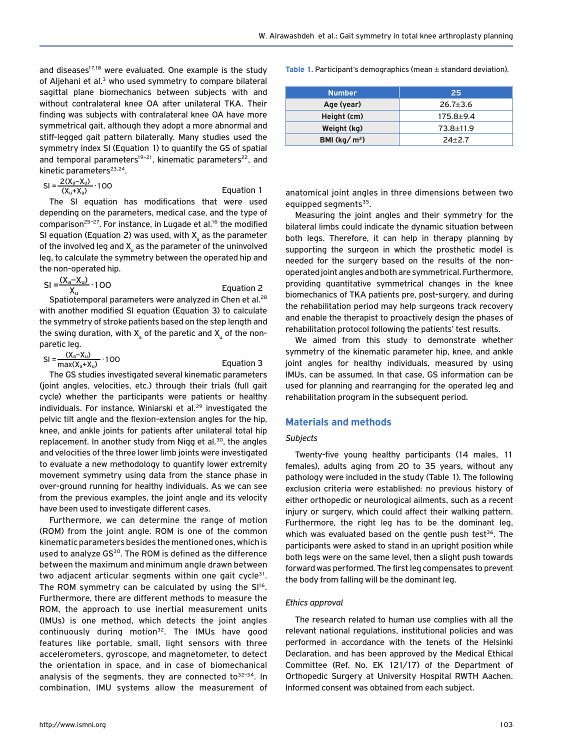and diseases<sup>17,18</sup> were evaluated. One example is the study of Aljehani et al.<sup>3</sup> who used symmetry to compare bilateral sagittal plane biomechanics between subjects with and without contralateral knee OA after unilateral TKA. Their finding was subjects with contralateral knee OA have more symmetrical gait, although they adopt a more abnormal and stiff-legged gait pattern bilaterally. Many studies used the symmetry index SI (Equation 1) to quantify the GS of spatial and temporal parameters<sup>19-21</sup>, kinematic parameters<sup>22</sup>, and kinetic parameters<sup>23,24</sup>.

$$
SI = \frac{2(X_a - X_u)}{(X_u + X_a)} \cdot 100
$$

The SI equation has modifications that were used depending on the parameters, medical case, and the type of comparison<sup>25-27</sup>. For instance, in Lugade et al.<sup>16</sup> the modified SI equation (Equation 2) was used, with  $\mathsf{X}_{_\mathrm{a}}$  as the parameter of the involved leg and  $\mathsf{X}_\mathsf{u}$  as the parameter of the uninvolved leg, to calculate the symmetry between the operated hip and the non-operated hip.

Equation 1

Equation 3

$$
SI = \frac{(X_a - X_u)}{X_u} \cdot 100
$$
 Equation 2  
Stationlocal parameters were analyzed in Chen et al<sup>28</sup>

Spatiotemporal parameters were analyzed in Chen et al.<sup>28</sup> with another modified SI equation (Equation 3) to calculate the symmetry of stroke patients based on the step length and the swing duration, with  $\mathsf{X}_{\mathsf{a}}$  of the paretic and  $\mathsf{X}_{\mathsf{u}}$  of the nonparetic leg.

$$
SI = \frac{(X_a - X_u)}{\max(X_a + X_u)} \cdot 100
$$

The GS studies investigated several kinematic parameters (joint angles, velocities, etc.) through their trials (full gait cycle) whether the participants were patients or healthy individuals. For instance, Winiarski et al.<sup>29</sup> investigated the pelvic tilt angle and the flexion-extension angles for the hip, knee, and ankle joints for patients after unilateral total hip replacement. In another study from Nigg et al.<sup>30</sup>, the angles and velocities of the three lower limb joints were investigated to evaluate a new methodology to quantify lower extremity movement symmetry using data from the stance phase in over-ground running for healthy individuals. As we can see from the previous examples, the joint angle and its velocity have been used to investigate different cases.

Furthermore, we can determine the range of motion (ROM) from the joint angle. ROM is one of the common kinematic parameters besides the mentioned ones, which is used to analyze GS<sup>30</sup>. The ROM is defined as the difference between the maximum and minimum angle drawn between two adjacent articular segments within one gait cycle<sup>31</sup>. The ROM symmetry can be calculated by using the  $SI^{16}$ . Furthermore, there are different methods to measure the ROM, the approach to use inertial measurement units (IMUs) is one method, which detects the joint angles continuously during motion<sup>32</sup>. The IMUs have good features like portable, small, light sensors with three accelerometers, gyroscope, and magnetometer, to detect the orientation in space, and in case of biomechanical analysis of the segments, they are connected to $32-34$ . In combination, IMU systems allow the measurement of

**Table 1.** Participant's demographics (mean ± standard deviation).

| <b>Number</b>                  | 25             |
|--------------------------------|----------------|
| Age (year)                     | $26.7 \pm 3.6$ |
| Height (cm)                    | $175.8 + 9.4$  |
| Weight (kg)                    | 73.8±11.9      |
| BMI ( $\text{kg}/\text{m}^2$ ) | $24 + 2.7$     |

anatomical joint angles in three dimensions between two equipped segments<sup>35</sup>.

Measuring the joint angles and their symmetry for the bilateral limbs could indicate the dynamic situation between both legs. Therefore, it can help in therapy planning by supporting the surgeon in which the prosthetic model is needed for the surgery based on the results of the nonoperated joint angles and both are symmetrical. Furthermore, providing quantitative symmetrical changes in the knee biomechanics of TKA patients pre, post-surgery, and during the rehabilitation period may help surgeons track recovery and enable the therapist to proactively design the phases of rehabilitation protocol following the patients' test results.

We aimed from this study to demonstrate whether symmetry of the kinematic parameter hip, knee, and ankle joint angles for healthy individuals, measured by using IMUs, can be assumed. In that case, GS information can be used for planning and rearranging for the operated leg and rehabilitation program in the subsequent period.

## **Materials and methods**

#### *Subjects*

Twenty-five young healthy participants (14 males, 11 females), adults aging from 20 to 35 years, without any pathology were included in the study (Table 1). The following exclusion criteria were established: no previous history of either orthopedic or neurological ailments, such as a recent injury or surgery, which could affect their walking pattern. Furthermore, the right leg has to be the dominant leg, which was evaluated based on the gentle push test<sup>36</sup>. The participants were asked to stand in an upright position while both legs were on the same level, then a slight push towards forward was performed. The first leg compensates to prevent the body from falling will be the dominant leg.

#### *Ethics approval*

The research related to human use complies with all the relevant national regulations, institutional policies and was performed in accordance with the tenets of the Helsinki Declaration, and has been approved by the Medical Ethical Committee (Ref. No. EK 121/17) of the Department of Orthopedic Surgery at University Hospital RWTH Aachen. Informed consent was obtained from each subject.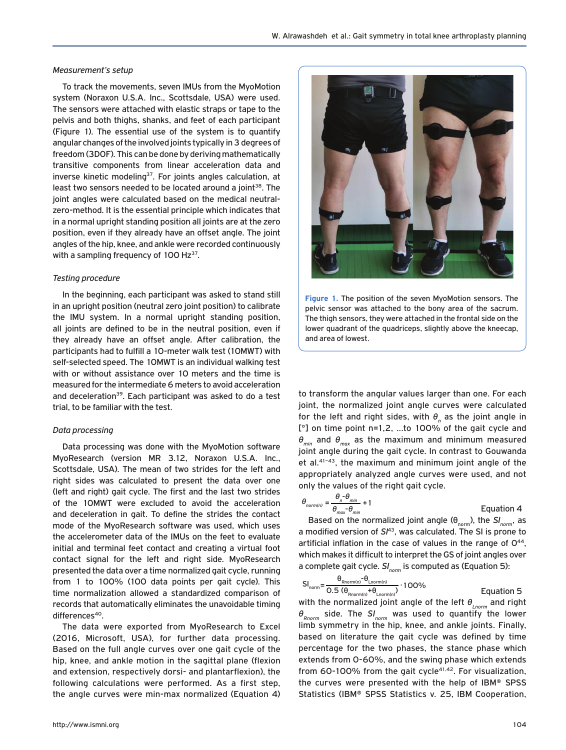#### *Measurement's setup*

To track the movements, seven IMUs from the MyoMotion system (Noraxon U.S.A. Inc., Scottsdale, USA) were used. The sensors were attached with elastic straps or tape to the pelvis and both thighs, shanks, and feet of each participant (Figure 1). The essential use of the system is to quantify angular changes of the involved joints typically in 3 degrees of freedom (3DOF). This can be done by deriving mathematically transitive components from linear acceleration data and inverse kinetic modeling<sup>37</sup>. For joints angles calculation, at least two sensors needed to be located around a joint<sup>38</sup>. The joint angles were calculated based on the medical neutralzero-method. It is the essential principle which indicates that in a normal upright standing position all joints are at the zero position, even if they already have an offset angle. The joint angles of the hip, knee, and ankle were recorded continuously with a sampling frequency of  $100$  Hz<sup>37</sup>.

#### *Testing procedure*

In the beginning, each participant was asked to stand still in an upright position (neutral zero joint position) to calibrate the IMU system. In a normal upright standing position, all joints are defined to be in the neutral position, even if they already have an offset angle. After calibration, the participants had to fulfill a 10-meter walk test (10MWT) with self-selected speed. The 10MWT is an individual walking test with or without assistance over 10 meters and the time is measured for the intermediate 6 meters to avoid acceleration and deceleration<sup>39</sup>. Each participant was asked to do a test trial, to be familiar with the test.

#### *Data processing*

Data processing was done with the MyoMotion software MyoResearch (version MR 3.12, Noraxon U.S.A. Inc., Scottsdale, USA). The mean of two strides for the left and right sides was calculated to present the data over one (left and right) gait cycle. The first and the last two strides of the 10MWT were excluded to avoid the acceleration and deceleration in gait. To define the strides the contact mode of the MyoResearch software was used, which uses the accelerometer data of the IMUs on the feet to evaluate initial and terminal feet contact and creating a virtual foot contact signal for the left and right side. MyoResearch presented the data over a time normalized gait cycle, running from 1 to 100% (100 data points per gait cycle). This time normalization allowed a standardized comparison of records that automatically eliminates the unavoidable timing differences<sup>40</sup>.

The data were exported from MyoResearch to Excel (2016, Microsoft, USA), for further data processing. Based on the full angle curves over one gait cycle of the hip, knee, and ankle motion in the sagittal plane (flexion and extension, respectively dorsi- and plantarflexion), the following calculations were performed. As a first step, the angle curves were min-max normalized (Equation 4)



**Figure 1.** The position of the seven MyoMotion sensors. The pelvic sensor was attached to the bony area of the sacrum. The thigh sensors, they were attached in the frontal side on the lower quadrant of the quadriceps, slightly above the kneecap, and area of lowest.

to transform the angular values larger than one. For each joint, the normalized joint angle curves were calculated for the left and right sides, with  $\boldsymbol{\theta}_{_{\boldsymbol{n}}}$  as the joint angle in [°] on time point n=1,2, …to 100% of the gait cycle and *θmin* and *θmax* as the maximum and minimum measured joint angle during the gait cycle. In contrast to Gouwanda et al.41–43, the maximum and minimum joint angle of the appropriately analyzed angle curves were used, and not only the values of the right gait cycle.

$$
\theta_{norm(n)} = \frac{\theta_n - \theta_{min}}{\theta_{max} - \theta_{min}} + 1
$$
  
Based on the normalized joint angle ( $\theta$ 

Based on the normalized joint angle (θ<sub>norm</sub>), the SI<sub>norm</sub>, as a modified version of *SI*43, was calculated. The SI is prone to artificial inflation in the case of values in the range of  $O^{44}$ , which makes it difficult to interpret the GS of joint angles over a complete gait cycle. *SI<sub>norm</sub>* is computed as (Equation 5):

$$
SI_{norm} = \frac{\theta_{Rnorm(n)} - \theta_{Lnorm(n)}}{0.5 \left(\theta_{Rnorm(n)} + \theta_{Lnorm(n)}\right)} \cdot 100\%
$$
 Equation 5

with the normalized joint angle of the left  $θ_{\text{norm}}$  and right  $θ<sub>Rnorm</sub>$  side. The *SI<sub>norm</sub>* was used to quantify the lower limb symmetry in the hip, knee, and ankle joints. Finally, based on literature the gait cycle was defined by time percentage for the two phases, the stance phase which extends from 0-60%, and the swing phase which extends from 60-100% from the gait cycle<sup>41,42</sup>. For visualization, the curves were presented with the help of IBM® SPSS Statistics (IBM® SPSS Statistics v. 25, IBM Cooperation,

Equation 4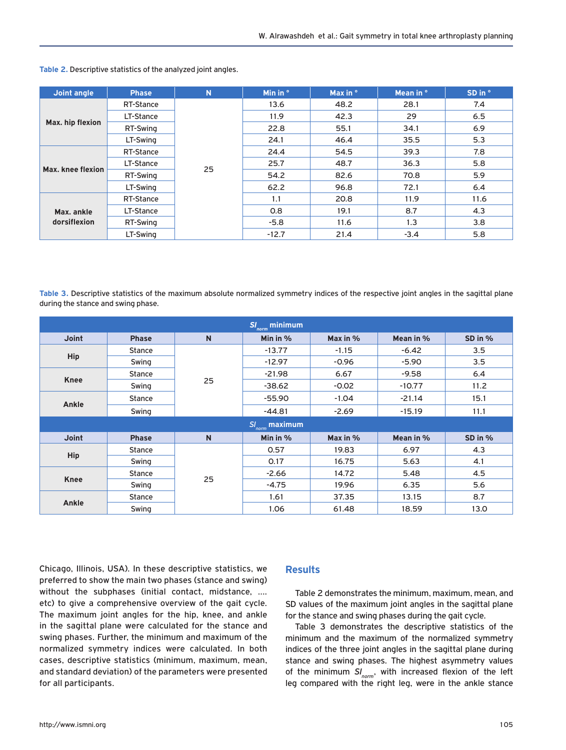| Joint angle                | <b>Phase</b> | N  | Min in $\degree$ | Max in $\degree$ | Mean in ° | SD in ° |
|----------------------------|--------------|----|------------------|------------------|-----------|---------|
| Max. hip flexion           | RT-Stance    | 25 | 13.6             | 48.2             | 28.1      | 7.4     |
|                            | LT-Stance    |    | 11.9             | 42.3             | 29        | 6.5     |
|                            | RT-Swing     |    | 22.8             | 55.1             | 34.1      | 6.9     |
|                            | LT-Swing     |    | 24.1             | 46.4             | 35.5      | 5.3     |
| Max. knee flexion          | RT-Stance    |    | 24.4             | 54.5             | 39.3      | 7.8     |
|                            | LT-Stance    |    | 25.7             | 48.7             | 36.3      | 5.8     |
|                            | RT-Swing     |    | 54.2             | 82.6             | 70.8      | 5.9     |
|                            | LT-Swing     |    | 62.2             | 96.8             | 72.1      | 6.4     |
| Max. ankle<br>dorsiflexion | RT-Stance    |    | 1.1              | 20.8             | 11.9      | 11.6    |
|                            | LT-Stance    |    | 0.8              | 19.1             | 8.7       | 4.3     |
|                            | RT-Swing     |    | $-5.8$           | 11.6             | 1.3       | 3.8     |
|                            | LT-Swing     |    | $-12.7$          | 21.4             | $-3.4$    | 5.8     |

**Table 2.** Descriptive statistics of the analyzed joint angles.

**Table 3.** Descriptive statistics of the maximum absolute normalized symmetry indices of the respective joint angles in the sagittal plane during the stance and swing phase.

| $\overline{\textit{SI}_{norm}}$ minimum $\overline{\textit{SI}_{norm}}$ |               |              |            |            |           |         |  |  |
|-------------------------------------------------------------------------|---------------|--------------|------------|------------|-----------|---------|--|--|
| <b>Joint</b>                                                            | <b>Phase</b>  | $\mathsf{N}$ | Min in $%$ | Max in $%$ | Mean in % | SD in % |  |  |
| <b>Hip</b>                                                              | <b>Stance</b> | 25           | $-13.77$   | $-1.15$    | $-6.42$   | 3.5     |  |  |
|                                                                         | Swing         |              | $-12.97$   | $-0.96$    | $-5.90$   | 3.5     |  |  |
| <b>Knee</b>                                                             | <b>Stance</b> |              | $-21.98$   | 6.67       | $-9.58$   | 6.4     |  |  |
|                                                                         | Swing         |              | $-38.62$   | $-0.02$    | $-10.77$  | 11.2    |  |  |
| Ankle                                                                   | <b>Stance</b> |              | $-55.90$   | $-1.04$    | $-21.14$  | 15.1    |  |  |
|                                                                         | Swing         |              | $-44.81$   | $-2.69$    | $-15.19$  | 11.1    |  |  |
| $SI_{norm}$ maximum                                                     |               |              |            |            |           |         |  |  |
| <b>Joint</b>                                                            | <b>Phase</b>  | $\mathsf{N}$ | Min in $%$ | Max in $%$ | Mean in % | SD in % |  |  |
| <b>Hip</b>                                                              | <b>Stance</b> |              | 0.57       | 19.83      | 6.97      | 4.3     |  |  |
|                                                                         | Swing         | 25           | 0.17       | 16.75      | 5.63      | 4.1     |  |  |
| <b>Knee</b>                                                             | <b>Stance</b> |              | $-2.66$    | 14.72      | 5.48      | 4.5     |  |  |
|                                                                         | Swing         |              | $-4.75$    | 19.96      | 6.35      | 5.6     |  |  |
| Ankle                                                                   | Stance        |              | 1.61       | 37.35      | 13.15     | 8.7     |  |  |
|                                                                         | Swing         |              | 1.06       | 61.48      | 18.59     | 13.0    |  |  |

Chicago, Illinois, USA). In these descriptive statistics, we preferred to show the main two phases (stance and swing) without the subphases (initial contact, midstance, …. etc) to give a comprehensive overview of the gait cycle. The maximum joint angles for the hip, knee, and ankle in the sagittal plane were calculated for the stance and swing phases. Further, the minimum and maximum of the normalized symmetry indices were calculated. In both cases, descriptive statistics (minimum, maximum, mean, and standard deviation) of the parameters were presented for all participants.

## **Results**

Table 2 demonstrates the minimum, maximum, mean, and SD values of the maximum joint angles in the sagittal plane for the stance and swing phases during the gait cycle.

Table 3 demonstrates the descriptive statistics of the minimum and the maximum of the normalized symmetry indices of the three joint angles in the sagittal plane during stance and swing phases. The highest asymmetry values of the minimum  $SI_{norm}$ , with increased flexion of the left leg compared with the right leg, were in the ankle stance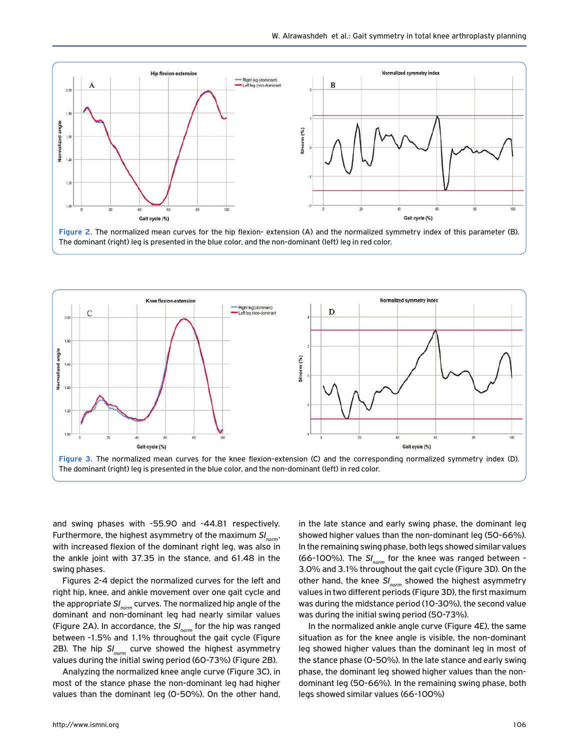

**Figure 2.** The normalized mean curves for the hip flexion- extension (A) and the normalized symmetry index of this parameter (B). The dominant (right) leg is presented in the blue color, and the non-dominant (left) leg in red color.



and swing phases with -55.90 and -44.81 respectively. Furthermore, the highest asymmetry of the maximum *SI<sub>norm</sub>*, with increased flexion of the dominant right leg, was also in the ankle joint with 37.35 in the stance, and 61.48 in the swing phases.

Figures 2-4 depict the normalized curves for the left and right hip, knee, and ankle movement over one gait cycle and the appropriate *SInorm* curves. The normalized hip angle of the dominant and non-dominant leg had nearly similar values (Figure 2A). In accordance, the *SInorm* for the hip was ranged between -1.5% and 1.1% throughout the gait cycle (Figure 2B). The hip *SI<sub>norm</sub>* curve showed the highest asymmetry values during the initial swing period (60-73%) (Figure 2B).

Analyzing the normalized knee angle curve (Figure 3C), in most of the stance phase the non-dominant leg had higher values than the dominant leg (0-50%). On the other hand,

showed higher values than the non-dominant leg (50-66%). In the remaining swing phase, both legs showed similar values (66-100%). The *SI<sub>norm</sub>* for the knee was ranged between -3.0% and 3.1% throughout the gait cycle (Figure 3D). On the other hand, the knee SI<sub>norm</sub> showed the highest asymmetry values in two different periods (Figure 3D), the first maximum was during the midstance period (10-30%), the second value was during the initial swing period (50-73%).

in the late stance and early swing phase, the dominant leg

In the normalized ankle angle curve (Figure 4E), the same situation as for the knee angle is visible, the non-dominant leg showed higher values than the dominant leg in most of the stance phase (0-50%). In the late stance and early swing phase, the dominant leg showed higher values than the nondominant leg (50-66%). In the remaining swing phase, both legs showed similar values (66-100%)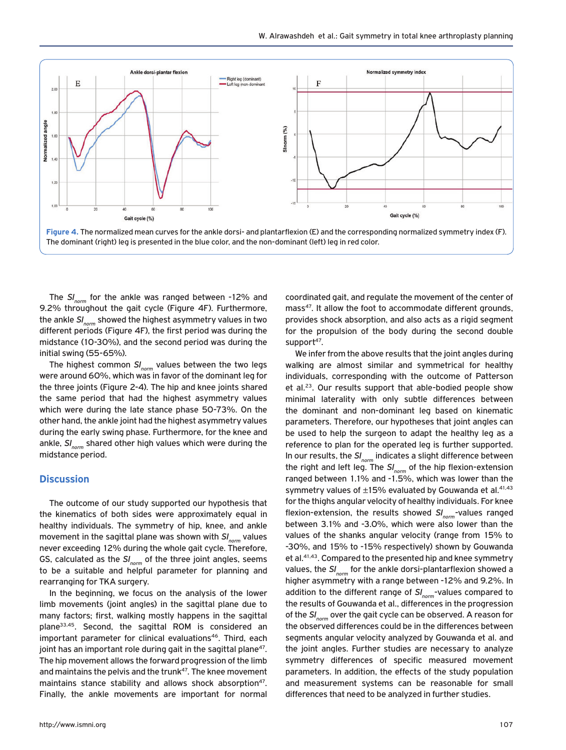

The SI<sub>norm</sub> for the ankle was ranged between -12% and 9.2% throughout the gait cycle (Figure 4F). Furthermore, the ankle *SI<sub>norm</sub>* showed the highest asymmetry values in two different periods (Figure 4F), the first period was during the midstance (10-30%), and the second period was during the initial swing (55-65%).

The highest common  $SI_{norm}$  values between the two legs were around 60%, which was in favor of the dominant leg for the three joints (Figure 2-4). The hip and knee joints shared the same period that had the highest asymmetry values which were during the late stance phase 50-73%. On the other hand, the ankle joint had the highest asymmetry values during the early swing phase. Furthermore, for the knee and ankle, SI<sub>norm</sub> shared other high values which were during the midstance period.

## **Discussion**

The outcome of our study supported our hypothesis that the kinematics of both sides were approximately equal in healthy individuals. The symmetry of hip, knee, and ankle movement in the sagittal plane was shown with *SI<sub>norm</sub>* values never exceeding 12% during the whole gait cycle. Therefore, GS, calculated as the SI<sub>norm</sub> of the three joint angles, seems to be a suitable and helpful parameter for planning and rearranging for TKA surgery.

In the beginning, we focus on the analysis of the lower limb movements (joint angles) in the sagittal plane due to many factors; first, walking mostly happens in the sagittal plane33,45. Second, the sagittal ROM is considered an important parameter for clinical evaluations<sup>46</sup>. Third, each joint has an important role during gait in the sagittal plane<sup>47</sup>. The hip movement allows the forward progression of the limb and maintains the pelvis and the trunk<sup>47</sup>. The knee movement maintains stance stability and allows shock absorption<sup>47</sup>. Finally, the ankle movements are important for normal coordinated gait, and regulate the movement of the center of mass<sup>47</sup>. It allow the foot to accommodate different grounds, provides shock absorption, and also acts as a rigid segment for the propulsion of the body during the second double support $47$ .

We infer from the above results that the joint angles during walking are almost similar and symmetrical for healthy individuals, corresponding with the outcome of Patterson et al.23. Our results support that able-bodied people show minimal laterality with only subtle differences between the dominant and non-dominant leg based on kinematic parameters. Therefore, our hypotheses that joint angles can be used to help the surgeon to adapt the healthy leg as a reference to plan for the operated leg is further supported. In our results, the *SI<sub>norm</sub>* indicates a slight difference between the right and left leg. The SI<sub>norm</sub> of the hip flexion-extension ranged between 1.1% and -1.5%, which was lower than the symmetry values of  $\pm 15$ % evaluated by Gouwanda et al.<sup>41,43</sup> for the thighs angular velocity of healthy individuals. For knee flexion-extension, the results showed *SI<sub>norm</sub>*-values ranged between 3.1% and -3.0%, which were also lower than the values of the shanks angular velocity (range from 15% to -30%, and 15% to -15% respectively) shown by Gouwanda et al.41,43. Compared to the presented hip and knee symmetry values, the *SI<sub>norm</sub>* for the ankle dorsi-plantarflexion showed a higher asymmetry with a range between -12% and 9.2%. In addition to the different range of SI<sub>norm</sub>-values compared to the results of Gouwanda et al., differences in the progression of the *SI<sub>norm</sub>* over the gait cycle can be observed. A reason for the observed differences could be in the differences between segments angular velocity analyzed by Gouwanda et al. and the joint angles. Further studies are necessary to analyze symmetry differences of specific measured movement parameters. In addition, the effects of the study population and measurement systems can be reasonable for small differences that need to be analyzed in further studies.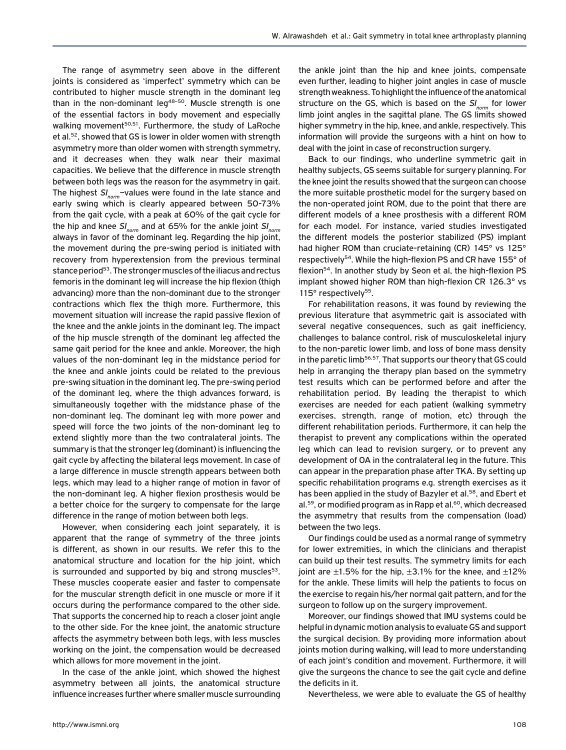The range of asymmetry seen above in the different joints is considered as 'imperfect' symmetry which can be contributed to higher muscle strength in the dominant leg than in the non-dominant leg<sup>48-50</sup>. Muscle strength is one of the essential factors in body movement and especially walking movement<sup>50,51</sup>. Furthermore, the study of LaRoche et al.<sup>52</sup>, showed that GS is lower in older women with strength asymmetry more than older women with strength symmetry, and it decreases when they walk near their maximal capacities. We believe that the difference in muscle strength between both legs was the reason for the asymmetry in gait. The highest *SI<sub>norm</sub>*-values were found in the late stance and early swing which is clearly appeared between 50-73% from the gait cycle, with a peak at 60% of the gait cycle for the hip and knee  $SI_{norm}$  and at 65% for the ankle joint  $SI_{norm}$ always in favor of the dominant leg. Regarding the hip joint, the movement during the pre-swing period is initiated with recovery from hyperextension from the previous terminal stance period<sup>53</sup>. The stronger muscles of the iliacus and rectus femoris in the dominant leg will increase the hip flexion (thigh advancing) more than the non-dominant due to the stronger contractions which flex the thigh more. Furthermore, this movement situation will increase the rapid passive flexion of the knee and the ankle joints in the dominant leg. The impact of the hip muscle strength of the dominant leg affected the same gait period for the knee and ankle. Moreover, the high values of the non-dominant leg in the midstance period for the knee and ankle joints could be related to the previous pre-swing situation in the dominant leg. The pre-swing period of the dominant leg, where the thigh advances forward, is simultaneously together with the midstance phase of the non-dominant leg. The dominant leg with more power and speed will force the two joints of the non-dominant leg to extend slightly more than the two contralateral joints. The summary is that the stronger leg (dominant) is influencing the gait cycle by affecting the bilateral legs movement. In case of a large difference in muscle strength appears between both legs, which may lead to a higher range of motion in favor of the non-dominant leg. A higher flexion prosthesis would be a better choice for the surgery to compensate for the large difference in the range of motion between both legs.

However, when considering each joint separately, it is apparent that the range of symmetry of the three joints is different, as shown in our results. We refer this to the anatomical structure and location for the hip joint, which is surrounded and supported by big and strong muscles $53$ . These muscles cooperate easier and faster to compensate for the muscular strength deficit in one muscle or more if it occurs during the performance compared to the other side. That supports the concerned hip to reach a closer joint angle to the other side. For the knee joint, the anatomic structure affects the asymmetry between both legs, with less muscles working on the joint, the compensation would be decreased which allows for more movement in the joint.

In the case of the ankle joint, which showed the highest asymmetry between all joints, the anatomical structure influence increases further where smaller muscle surrounding the ankle joint than the hip and knee joints, compensate even further, leading to higher joint angles in case of muscle strength weakness. To highlight the influence of the anatomical structure on the GS, which is based on the SI<sub>norm</sub> for lower limb joint angles in the sagittal plane. The GS limits showed higher symmetry in the hip, knee, and ankle, respectively. This information will provide the surgeons with a hint on how to deal with the joint in case of reconstruction surgery.

Back to our findings, who underline symmetric gait in healthy subjects, GS seems suitable for surgery planning. For the knee joint the results showed that the surgeon can choose the more suitable prosthetic model for the surgery based on the non-operated joint ROM, due to the point that there are different models of a knee prosthesis with a different ROM for each model. For instance, varied studies investigated the different models the posterior stabilized (PS) implant had higher ROM than cruciate-retaining (CR) 145° vs 125° respectively<sup>54</sup>. While the high-flexion PS and CR have 155° of flexion<sup>54</sup>. In another study by Seon et al, the high-flexion PS implant showed higher ROM than high-flexion CR 126.3° vs 115° respectively<sup>55</sup>.

For rehabilitation reasons, it was found by reviewing the previous literature that asymmetric gait is associated with several negative consequences, such as gait inefficiency, challenges to balance control, risk of musculoskeletal injury to the non-paretic lower limb, and loss of bone mass density in the paretic limb<sup>56,57</sup>. That supports our theory that GS could help in arranging the therapy plan based on the symmetry test results which can be performed before and after the rehabilitation period. By leading the therapist to which exercises are needed for each patient (walking symmetry exercises, strength, range of motion, etc) through the different rehabilitation periods. Furthermore, it can help the therapist to prevent any complications within the operated leg which can lead to revision surgery, or to prevent any development of OA in the contralateral leg in the future. This can appear in the preparation phase after TKA. By setting up specific rehabilitation programs e.g. strength exercises as it has been applied in the study of Bazyler et al.<sup>58</sup>, and Ebert et al.<sup>59</sup>, or modified program as in Rapp et al.<sup>60</sup>, which decreased the asymmetry that results from the compensation (load) between the two legs.

Our findings could be used as a normal range of symmetry for lower extremities, in which the clinicians and therapist can build up their test results. The symmetry limits for each joint are  $\pm 1.5\%$  for the hip,  $\pm 3.1\%$  for the knee, and  $\pm 12\%$ for the ankle. These limits will help the patients to focus on the exercise to regain his/her normal gait pattern, and for the surgeon to follow up on the surgery improvement.

Moreover, our findings showed that IMU systems could be helpful in dynamic motion analysis to evaluate GS and support the surgical decision. By providing more information about joints motion during walking, will lead to more understanding of each joint's condition and movement. Furthermore, it will give the surgeons the chance to see the gait cycle and define the deficits in it.

Nevertheless, we were able to evaluate the GS of healthy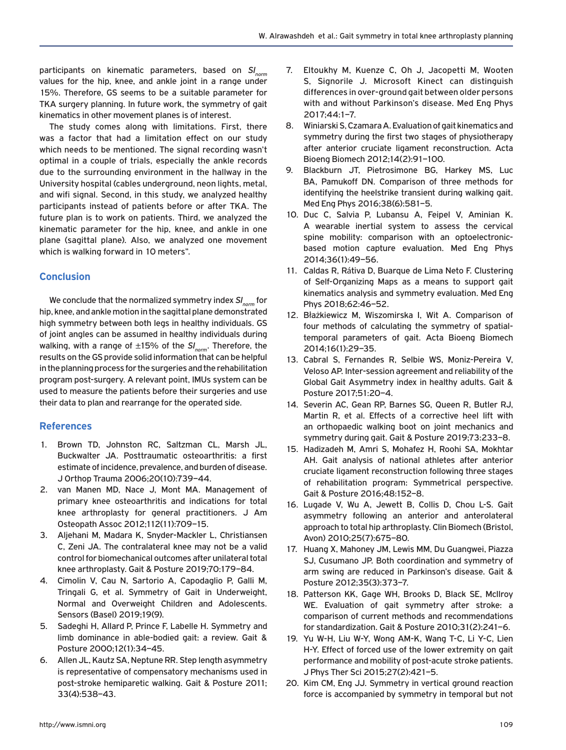participants on kinematic parameters, based on SI<sub>norm</sub> values for the hip, knee, and ankle joint in a range under 15%. Therefore, GS seems to be a suitable parameter for TKA surgery planning. In future work, the symmetry of gait kinematics in other movement planes is of interest.

The study comes along with limitations. First, there was a factor that had a limitation effect on our study which needs to be mentioned. The signal recording wasn't optimal in a couple of trials, especially the ankle records due to the surrounding environment in the hallway in the University hospital (cables underground, neon lights, metal, and wifi signal. Second, in this study, we analyzed healthy participants instead of patients before or after TKA. The future plan is to work on patients. Third, we analyzed the kinematic parameter for the hip, knee, and ankle in one plane (sagittal plane). Also, we analyzed one movement which is walking forward in 10 meters".

## **Conclusion**

We conclude that the normalized symmetry index *SI<sub>norm</sub>* for hip, knee, and ankle motion in the sagittal plane demonstrated high symmetry between both legs in healthy individuals. GS of joint angles can be assumed in healthy individuals during walking, with a range of ±15% of the SI<sub>norm</sub>. Therefore, the results on the GS provide solid information that can be helpful in the planning process for the surgeries and the rehabilitation program post-surgery. A relevant point, IMUs system can be used to measure the patients before their surgeries and use their data to plan and rearrange for the operated side.

## **References**

- 1. Brown TD, Johnston RC, Saltzman CL, Marsh JL, Buckwalter JA. Posttraumatic osteoarthritis: a first estimate of incidence, prevalence, and burden of disease. J Orthop Trauma 2006;20(10):739–44.
- 2. van Manen MD, Nace J, Mont MA. Management of primary knee osteoarthritis and indications for total knee arthroplasty for general practitioners. J Am Osteopath Assoc 2012;112(11):709–15.
- 3. Aljehani M, Madara K, Snyder-Mackler L, Christiansen C, Zeni JA. The contralateral knee may not be a valid control for biomechanical outcomes after unilateral total knee arthroplasty. Gait & Posture 2019;70:179–84.
- 4. Cimolin V, Cau N, Sartorio A, Capodaglio P, Galli M, Tringali G, et al. Symmetry of Gait in Underweight, Normal and Overweight Children and Adolescents. Sensors (Basel) 2019;19(9).
- 5. Sadeghi H, Allard P, Prince F, Labelle H. Symmetry and limb dominance in able-bodied gait: a review. Gait & Posture 2000;12(1):34–45.
- 6. Allen JL, Kautz SA, Neptune RR. Step length asymmetry is representative of compensatory mechanisms used in post-stroke hemiparetic walking. Gait & Posture 2011; 33(4):538–43.
- 7. Eltoukhy M, Kuenze C, Oh J, Jacopetti M, Wooten S, Signorile J. Microsoft Kinect can distinguish differences in over-ground gait between older persons with and without Parkinson's disease. Med Eng Phys 2017;44:1–7.
- 8. Winiarski S, Czamara A. Evaluation of gait kinematics and symmetry during the first two stages of physiotherapy after anterior cruciate ligament reconstruction. Acta Bioeng Biomech 2012;14(2):91–100.
- 9. Blackburn JT, Pietrosimone BG, Harkey MS, Luc BA, Pamukoff DN. Comparison of three methods for identifying the heelstrike transient during walking gait. Med Eng Phys 2016;38(6):581–5.
- 10. Duc C, Salvia P, Lubansu A, Feipel V, Aminian K. A wearable inertial system to assess the cervical spine mobility: comparison with an optoelectronicbased motion capture evaluation. Med Eng Phys 2014;36(1):49–56.
- 11. Caldas R, Rátiva D, Buarque de Lima Neto F. Clustering of Self-Organizing Maps as a means to support gait kinematics analysis and symmetry evaluation. Med Eng Phys 2018;62:46–52.
- 12. Błażkiewicz M, Wiszomirska I, Wit A. Comparison of four methods of calculating the symmetry of spatialtemporal parameters of gait. Acta Bioeng Biomech 2014;16(1):29–35.
- 13. Cabral S, Fernandes R, Selbie WS, Moniz-Pereira V, Veloso AP. Inter-session agreement and reliability of the Global Gait Asymmetry index in healthy adults. Gait & Posture 2017;51:20–4.
- 14. Severin AC, Gean RP, Barnes SG, Queen R, Butler RJ, Martin R, et al. Effects of a corrective heel lift with an orthopaedic walking boot on joint mechanics and symmetry during gait. Gait & Posture 2019;73:233–8.
- 15. Hadizadeh M, Amri S, Mohafez H, Roohi SA, Mokhtar AH. Gait analysis of national athletes after anterior cruciate ligament reconstruction following three stages of rehabilitation program: Symmetrical perspective. Gait & Posture 2016;48:152–8.
- 16. Lugade V, Wu A, Jewett B, Collis D, Chou L-S. Gait asymmetry following an anterior and anterolateral approach to total hip arthroplasty. Clin Biomech (Bristol, Avon) 2010;25(7):675–80.
- 17. Huang X, Mahoney JM, Lewis MM, Du Guangwei, Piazza SJ, Cusumano JP. Both coordination and symmetry of arm swing are reduced in Parkinson's disease. Gait & Posture 2012;35(3):373–7.
- 18. Patterson KK, Gage WH, Brooks D, Black SE, McIlroy WE. Evaluation of gait symmetry after stroke: a comparison of current methods and recommendations for standardization. Gait & Posture 2010;31(2):241–6.
- 19. Yu W-H, Liu W-Y, Wong AM-K, Wang T-C, Li Y-C, Lien H-Y. Effect of forced use of the lower extremity on gait performance and mobility of post-acute stroke patients. J Phys Ther Sci 2015;27(2):421–5.
- 20. Kim CM, Eng JJ. Symmetry in vertical ground reaction force is accompanied by symmetry in temporal but not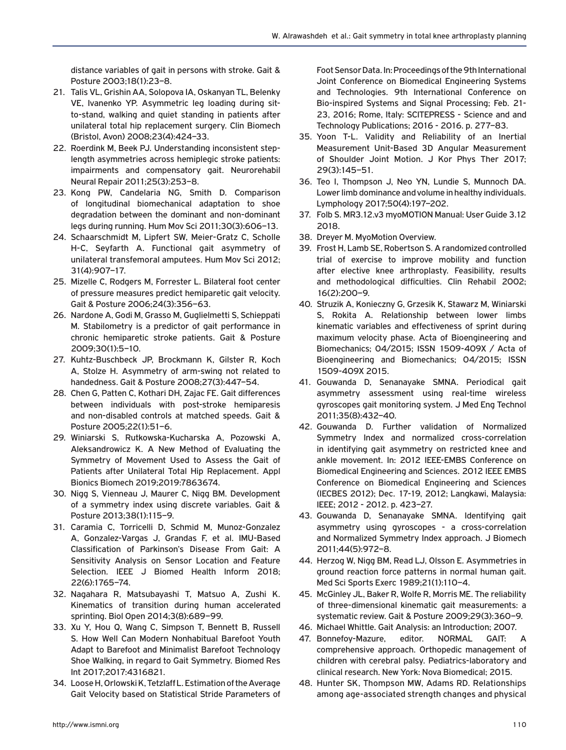distance variables of gait in persons with stroke. Gait & Posture 2003;18(1):23–8.

- 21. Talis VL, Grishin AA, Solopova IA, Oskanyan TL, Belenky VE, Ivanenko YP. Asymmetric leg loading during sitto-stand, walking and quiet standing in patients after unilateral total hip replacement surgery. Clin Biomech (Bristol, Avon) 2008;23(4):424–33.
- 22. Roerdink M, Beek PJ. Understanding inconsistent steplength asymmetries across hemiplegic stroke patients: impairments and compensatory gait. Neurorehabil Neural Repair 2011;25(3):253–8.
- 23. Kong PW, Candelaria NG, Smith D. Comparison of longitudinal biomechanical adaptation to shoe degradation between the dominant and non-dominant legs during running. Hum Mov Sci 2011;30(3):606–13.
- 24. Schaarschmidt M, Lipfert SW, Meier-Gratz C, Scholle H-C, Seyfarth A. Functional gait asymmetry of unilateral transfemoral amputees. Hum Mov Sci 2012; 31(4):907–17.
- 25. Mizelle C, Rodgers M, Forrester L. Bilateral foot center of pressure measures predict hemiparetic gait velocity. Gait & Posture 2006;24(3):356–63.
- 26. Nardone A, Godi M, Grasso M, Guglielmetti S, Schieppati M. Stabilometry is a predictor of gait performance in chronic hemiparetic stroke patients. Gait & Posture 2009;30(1):5–10.
- 27. Kuhtz-Buschbeck JP, Brockmann K, Gilster R, Koch A, Stolze H. Asymmetry of arm-swing not related to handedness. Gait & Posture 2008;27(3):447–54.
- 28. Chen G, Patten C, Kothari DH, Zajac FE. Gait differences between individuals with post-stroke hemiparesis and non-disabled controls at matched speeds. Gait & Posture 2005;22(1):51–6.
- 29. Winiarski S, Rutkowska-Kucharska A, Pozowski A, Aleksandrowicz K. A New Method of Evaluating the Symmetry of Movement Used to Assess the Gait of Patients after Unilateral Total Hip Replacement. Appl Bionics Biomech 2019;2019:7863674.
- 30. Nigg S, Vienneau J, Maurer C, Nigg BM. Development of a symmetry index using discrete variables. Gait & Posture 2013;38(1):115–9.
- 31. Caramia C, Torricelli D, Schmid M, Munoz-Gonzalez A, Gonzalez-Vargas J, Grandas F, et al. IMU-Based Classification of Parkinson's Disease From Gait: A Sensitivity Analysis on Sensor Location and Feature Selection. IEEE J Biomed Health Inform 2018; 22(6):1765–74.
- 32. Nagahara R, Matsubayashi T, Matsuo A, Zushi K. Kinematics of transition during human accelerated sprinting. Biol Open 2014;3(8):689–99.
- 33. Xu Y, Hou Q, Wang C, Simpson T, Bennett B, Russell S. How Well Can Modern Nonhabitual Barefoot Youth Adapt to Barefoot and Minimalist Barefoot Technology Shoe Walking, in regard to Gait Symmetry. Biomed Res Int 2017;2017:4316821.
- 34. Loose H, Orlowski K, Tetzlaff L. Estimation of the Average Gait Velocity based on Statistical Stride Parameters of

Foot Sensor Data. In: Proceedings of the 9th International Joint Conference on Biomedical Engineering Systems and Technologies. 9th International Conference on Bio-inspired Systems and Signal Processing; Feb. 21- 23, 2016; Rome, Italy: SCITEPRESS - Science and and Technology Publications; 2016 - 2016. p. 277–83.

- 35. Yoon T-L. Validity and Reliability of an Inertial Measurement Unit-Based 3D Angular Measurement of Shoulder Joint Motion. J Kor Phys Ther 2017; 29(3):145–51.
- 36. Teo I, Thompson J, Neo YN, Lundie S, Munnoch DA. Lower limb dominance and volume in healthy individuals. Lymphology 2017;50(4):197–202.
- 37. Folb S. MR3.12.v3 myoMOTION Manual: User Guide 3.12 2018.
- 38. Dreyer M. MyoMotion Overview.
- 39. Frost H, Lamb SE, Robertson S. A randomized controlled trial of exercise to improve mobility and function after elective knee arthroplasty. Feasibility, results and methodological difficulties. Clin Rehabil 2002; 16(2):200–9.
- 40. Struzik A, Konieczny G, Grzesik K, Stawarz M, Winiarski S, Rokita A. Relationship between lower limbs kinematic variables and effectiveness of sprint during maximum velocity phase. Acta of Bioengineering and Biomechanics; 04/2015; ISSN 1509-409X / Acta of Bioengineering and Biomechanics; 04/2015; ISSN 1509-409X 2015.
- 41. Gouwanda D, Senanayake SMNA. Periodical gait asymmetry assessment using real-time wireless gyroscopes gait monitoring system. J Med Eng Technol 2011;35(8):432–40.
- 42. Gouwanda D. Further validation of Normalized Symmetry Index and normalized cross-correlation in identifying gait asymmetry on restricted knee and ankle movement. In: 2012 IEEE-EMBS Conference on Biomedical Engineering and Sciences. 2012 IEEE EMBS Conference on Biomedical Engineering and Sciences (IECBES 2012); Dec. 17-19, 2012; Langkawi, Malaysia: IEEE; 2012 - 2012. p. 423–27.
- 43. Gouwanda D, Senanayake SMNA. Identifying gait asymmetry using gyroscopes - a cross-correlation and Normalized Symmetry Index approach. J Biomech 2011;44(5):972–8.
- 44. Herzog W, Nigg BM, Read LJ, Olsson E. Asymmetries in ground reaction force patterns in normal human gait. Med Sci Sports Exerc 1989;21(1):110–4.
- 45. McGinley JL, Baker R, Wolfe R, Morris ME. The reliability of three-dimensional kinematic gait measurements: a systematic review. Gait & Posture 2009;29(3):360–9.
- 46. Michael Whittle. Gait Analysis: an Introduction; 2007.
- 47. Bonnefoy-Mazure, editor. NORMAL GAIT: A comprehensive approach. Orthopedic management of children with cerebral palsy. Pediatrics-laboratory and clinical research. New York: Nova Biomedical; 2015.
- 48. Hunter SK, Thompson MW, Adams RD. Relationships among age-associated strength changes and physical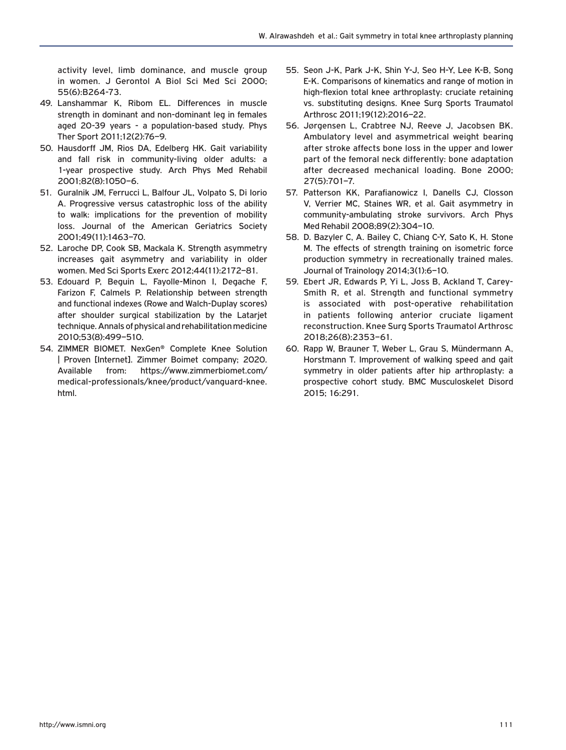activity level, limb dominance, and muscle group in women. J Gerontol A Biol Sci Med Sci 2000; 55(6):B264-73.

- 49. Lanshammar K, Ribom EL. Differences in muscle strength in dominant and non-dominant leg in females aged 20-39 years - a population-based study. Phys Ther Sport 2011;12(2):76–9.
- 50. Hausdorff JM, Rios DA, Edelberg HK. Gait variability and fall risk in community-living older adults: a 1-year prospective study. Arch Phys Med Rehabil 2001;82(8):1050–6.
- 51. Guralnik JM, Ferrucci L, Balfour JL, Volpato S, Di Iorio A. Progressive versus catastrophic loss of the ability to walk: implications for the prevention of mobility loss. Journal of the American Geriatrics Society 2001;49(11):1463–70.
- 52. Laroche DP, Cook SB, Mackala K. Strength asymmetry increases gait asymmetry and variability in older women. Med Sci Sports Exerc 2012;44(11):2172–81.
- 53. Edouard P, Beguin L, Fayolle-Minon I, Degache F, Farizon F, Calmels P. Relationship between strength and functional indexes (Rowe and Walch-Duplay scores) after shoulder surgical stabilization by the Latarjet technique. Annals of physical and rehabilitation medicine 2010;53(8):499–510.
- 54. ZIMMER BIOMET. NexGen® Complete Knee Solution | Proven [Internet]. Zimmer Boimet company; 2020. Available from: https://www.zimmerbiomet.com/ medical-professionals/knee/product/vanguard-knee. html.
- 55. Seon J-K, Park J-K, Shin Y-J, Seo H-Y, Lee K-B, Song E-K. Comparisons of kinematics and range of motion in high-flexion total knee arthroplasty: cruciate retaining vs. substituting designs. Knee Surg Sports Traumatol Arthrosc 2011;19(12):2016–22.
- 56. Jørgensen L, Crabtree NJ, Reeve J, Jacobsen BK. Ambulatory level and asymmetrical weight bearing after stroke affects bone loss in the upper and lower part of the femoral neck differently: bone adaptation after decreased mechanical loading. Bone 2000; 27(5):701–7.
- 57. Patterson KK, Parafianowicz I, Danells CJ, Closson V, Verrier MC, Staines WR, et al. Gait asymmetry in community-ambulating stroke survivors. Arch Phys Med Rehabil 2008;89(2):304–10.
- 58. D. Bazyler C, A. Bailey C, Chiang C-Y, Sato K, H. Stone M. The effects of strength training on isometric force production symmetry in recreationally trained males. Journal of Trainology 2014;3(1):6–10.
- 59. Ebert JR, Edwards P, Yi L, Joss B, Ackland T, Carey-Smith R, et al. Strength and functional symmetry is associated with post-operative rehabilitation in patients following anterior cruciate ligament reconstruction. Knee Surg Sports Traumatol Arthrosc 2018;26(8):2353–61.
- 60. Rapp W, Brauner T, Weber L, Grau S, Mündermann A, Horstmann T. Improvement of walking speed and gait symmetry in older patients after hip arthroplasty: a prospective cohort study. BMC Musculoskelet Disord 2015; 16:291.